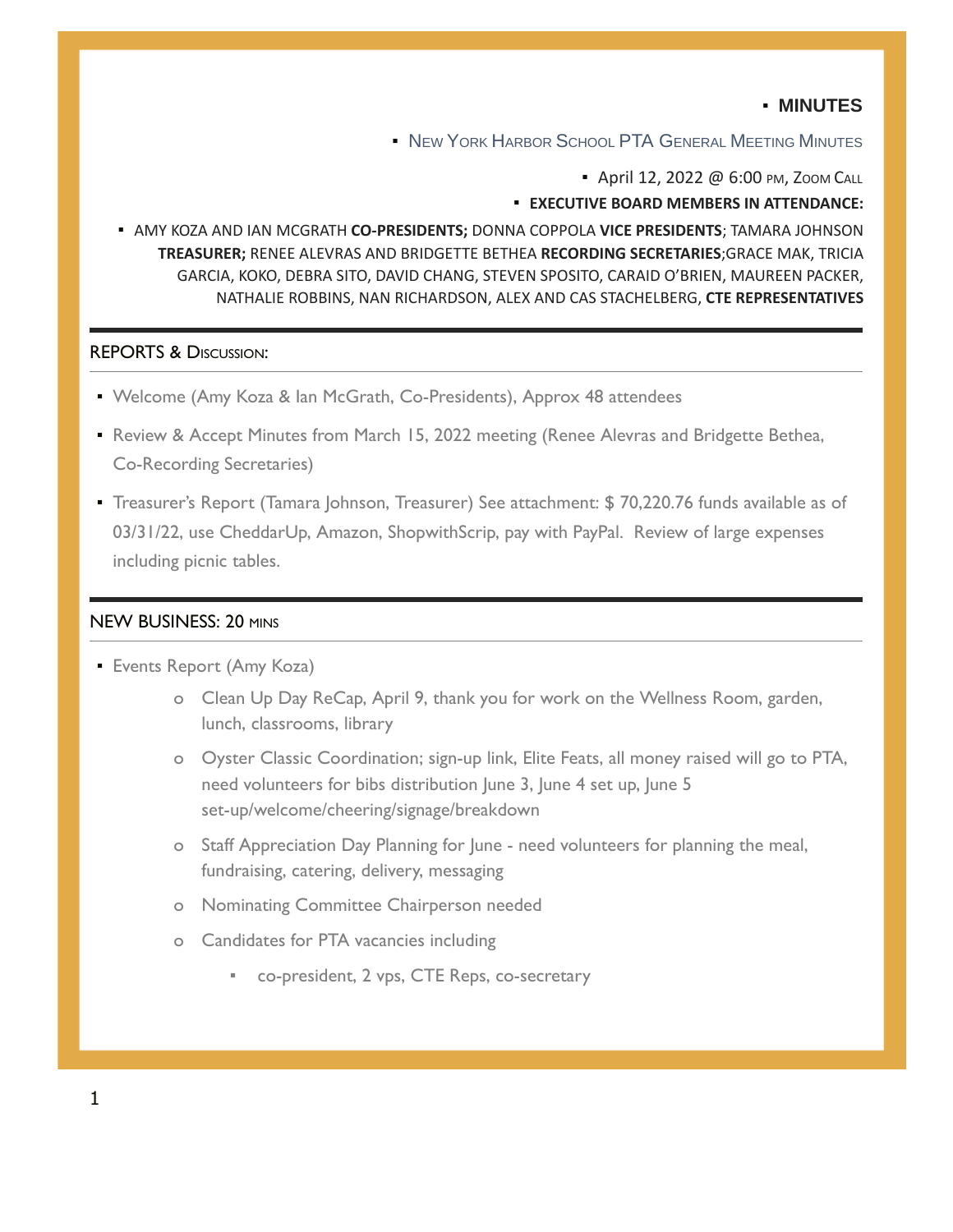### ▪ **MINUTES**

**▪** NEW YORK HARBOR SCHOOL PTA GENERAL MEETING MINUTES

■ April 12, 2022 @ 6:00 PM, ZOOM CALL

▪ **EXECUTIVE BOARD MEMBERS IN ATTENDANCE:**

▪ AMY KOZA AND IAN MCGRATH **CO-PRESIDENTS;** DONNA COPPOLA **VICE PRESIDENTS**; TAMARA JOHNSON **TREASURER;** RENEE ALEVRAS AND BRIDGETTE BETHEA **RECORDING SECRETARIES**;GRACE MAK, TRICIA GARCIA, KOKO, DEBRA SITO, DAVID CHANG, STEVEN SPOSITO, CARAID O'BRIEN, MAUREEN PACKER, NATHALIE ROBBINS, NAN RICHARDSON, ALEX AND CAS STACHELBERG, **CTE REPRESENTATIVES**

#### REPORTS & DISCUSSION:

- Welcome (Amy Koza & Ian McGrath, Co-Presidents), Approx 48 attendees
- **Review & Accept Minutes from March 15, 2022 meeting (Renee Alevras and Bridgette Bethea,** Co-Recording Secretaries)
- Treasurer's Report (Tamara Johnson, Treasurer) See attachment: \$ 70,220.76 funds available as of 03/31/22, use CheddarUp, Amazon, ShopwithScrip, pay with PayPal. Review of large expenses including picnic tables.

### NEW BUSINESS: 20 MINS

- **Events Report (Amy Koza)** 
	- o Clean Up Day ReCap, April 9, thank you for work on the Wellness Room, garden, lunch, classrooms, library
	- o Oyster Classic Coordination; sign-up link, Elite Feats, all money raised will go to PTA, need volunteers for bibs distribution June 3, June 4 set up, June 5 set-up/welcome/cheering/signage/breakdown
	- o Staff Appreciation Day Planning for June need volunteers for planning the meal, fundraising, catering, delivery, messaging
	- o Nominating Committee Chairperson needed
	- o Candidates for PTA vacancies including
		- co-president, 2 vps, CTE Reps, co-secretary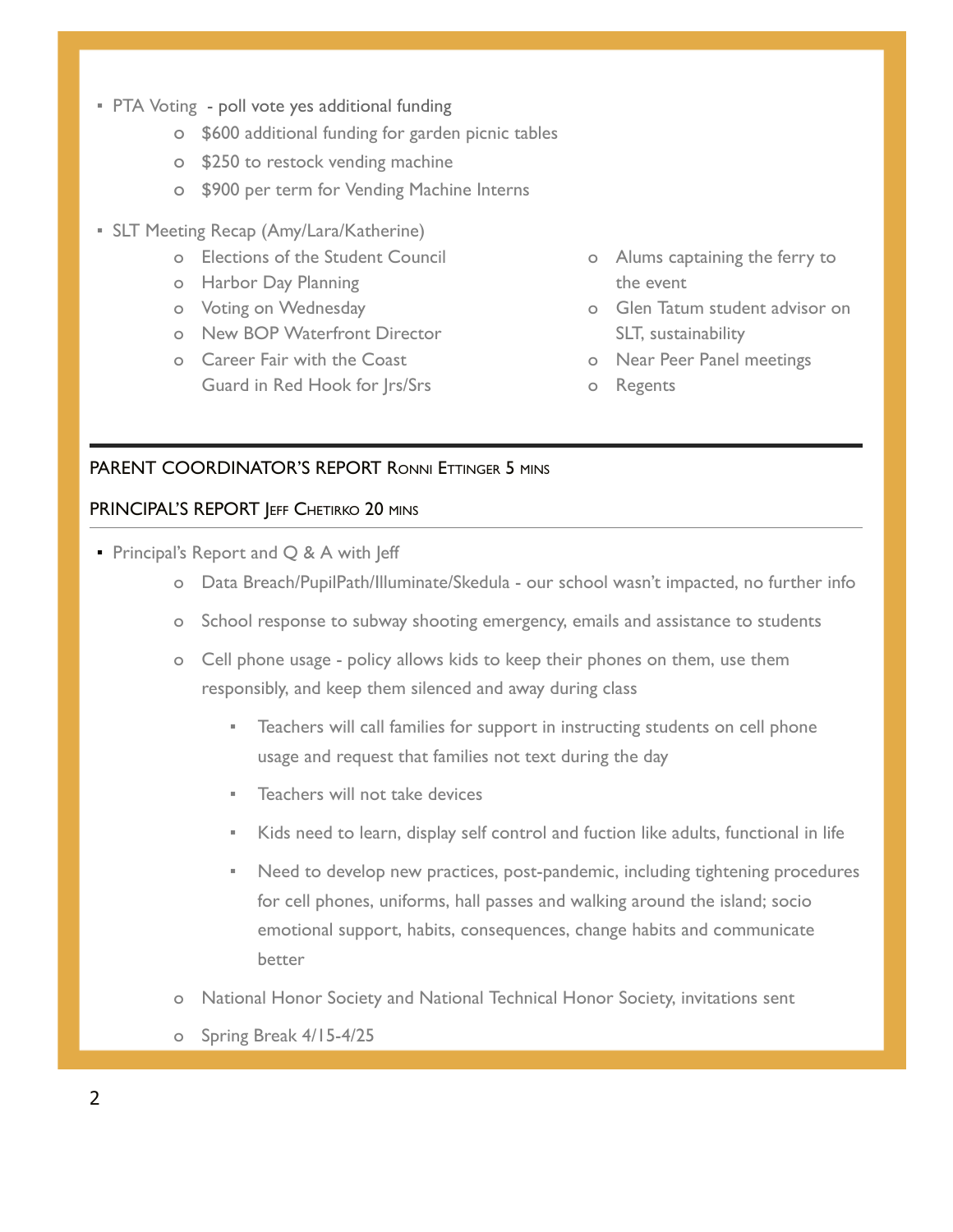- **PTA Voting poll vote yes additional funding** 
	- o \$600 additional funding for garden picnic tables
	- o \$250 to restock vending machine
	- o \$900 per term for Vending Machine Interns
- **SLT Meeting Recap (Amy/Lara/Katherine)** 
	- o Elections of the Student Council
	- o Harbor Day Planning
	- o Voting on Wednesday
	- o New BOP Waterfront Director
	- o Career Fair with the Coast Guard in Red Hook for Jrs/Srs
- o Alums captaining the ferry to the event
- o Glen Tatum student advisor on SLT, sustainability
- o Near Peer Panel meetings
- o Regents

# PARENT COORDINATOR'S REPORT RONNI ETTINGER 5 MINS

# PRINCIPAL'S REPORT JEFF CHETIRKO 20 MINS

- **Principal's Report and**  $Q$  **& A with Jeff** 
	- o Data Breach/PupilPath/Illuminate/Skedula our school wasn't impacted, no further info
	- o School response to subway shooting emergency, emails and assistance to students
	- o Cell phone usage policy allows kids to keep their phones on them, use them responsibly, and keep them silenced and away during class
		- Teachers will call families for support in instructing students on cell phone usage and request that families not text during the day
		- **Teachers will not take devices**
		- Kids need to learn, display self control and fuction like adults, functional in life
		- Need to develop new practices, post-pandemic, including tightening procedures for cell phones, uniforms, hall passes and walking around the island; socio emotional support, habits, consequences, change habits and communicate better
	- National Honor Society and National Technical Honor Society, invitations sent
	- o Spring Break 4/15-4/25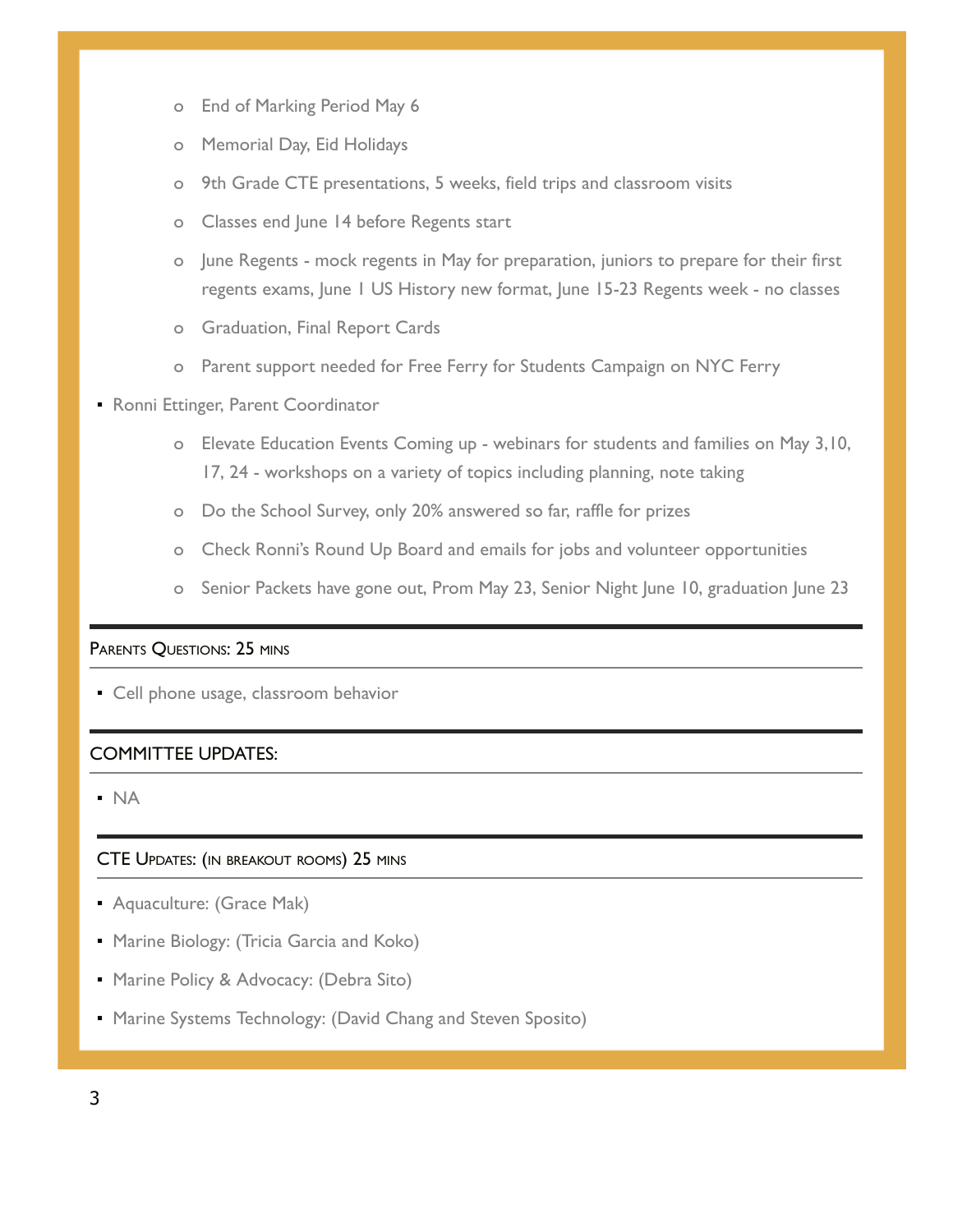- o End of Marking Period May 6
- o Memorial Day, Eid Holidays
- o 9th Grade CTE presentations, 5 weeks, field trips and classroom visits
- o Classes end June 14 before Regents start
- o June Regents mock regents in May for preparation, juniors to prepare for their first regents exams, June 1 US History new format, June 15-23 Regents week - no classes
- o Graduation, Final Report Cards
- o Parent support needed for Free Ferry for Students Campaign on NYC Ferry
- **Ronni Ettinger, Parent Coordinator** 
	- o Elevate Education Events Coming up webinars for students and families on May 3,10, 17, 24 - workshops on a variety of topics including planning, note taking
	- o Do the School Survey, only 20% answered so far, raffle for prizes
	- o Check Ronni's Round Up Board and emails for jobs and volunteer opportunities
	- o Senior Packets have gone out, Prom May 23, Senior Night June 10, graduation June 23

## PARENTS QUESTIONS: 25 MINS

**• Cell phone usage, classroom behavior** 

## COMMITTEE UPDATES:

▪ NA

#### CTE UPDATES: (IN BREAKOUT ROOMS) 25 MINS

- **Aquaculture: (Grace Mak)**
- **Marine Biology: (Tricia Garcia and Koko)**
- **Marine Policy & Advocacy: (Debra Sito)**
- **Marine Systems Technology: (David Chang and Steven Sposito)**